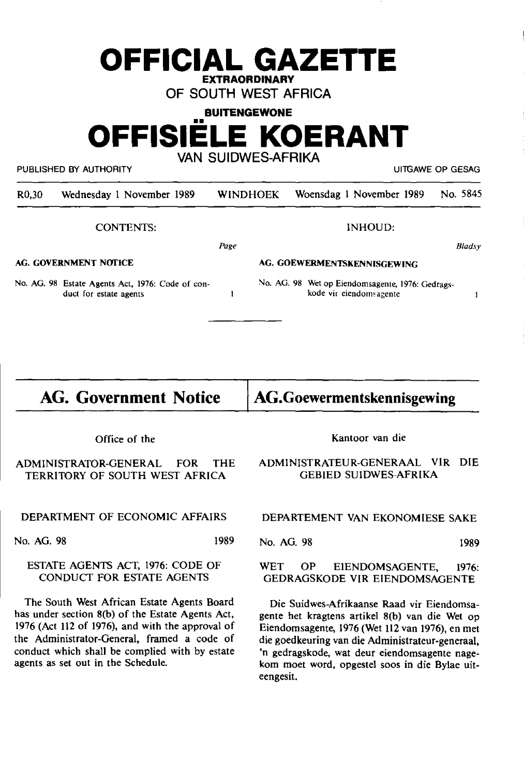# **OFFICIAL GAZETTE EXTRAORDINARY**

**OF SOUTH WEST AFRICA** 

**BUITENGEWONE** 

## **OFFISIE E KOERANT**

**VAN SUIDWES-AFRIKA** 

PUBLISHED BY AUTHORITY **EXECUTE ACCOMPANY IN THE SECOND PUBLISHED BY AUTHORITY** 

| R0,30 | Wednesday 1 November 1989 | WINDHOEK Woensdag 1 November 1989 No. 5845 |  |
|-------|---------------------------|--------------------------------------------|--|
|       |                           |                                            |  |

*Page* 

 $\mathbf{I}$ 

CONTENTS:

INHOUD:

*Bladsy* 

 $\mathbf{1}$ 

**AG. GOVERNMENT NOfICE** 

**AG. GOEWERMENTSKENNISGEWING** 

No. AG. 98 Estate Agents Act, 1976: Code of conduct for estate agents

No. AG. 98 Wet op Eiendomsagente, 1976: Gedragskode vir eiendomsagente

# **AG. Government Notice**

**AG.Goewermentskennisgewing** 

Office of the

ADMINISTRATOR-GENERAL FOR THE TERRITORY OF SOUTH WEST AFRICA

DEPARTMENT OF ECONOMIC AFFAIRS

No. AG. 98 1989

### ESTATE AGENTS ACT, 1976: CODE OF CONDUCT FOR ESTATE AGENTS

The South West African Estate Agents Board has under section S(b) of the Estate Agents Act, 1976 (Act 112 of 1976), and with the approval of the Administrator-General, framed a code of conduct which shall be complied with by estate agents as set out in the Schedule.

Kantoor van die

### ADMINISTRATEUR-GENERAAL VIR DIE GEBIED SUIDWES-AFRIKA

DEPARTEMENT VAN EKONOMIESE SAKE

No. AG. 98 1989

WET OP EIENDOMSAGENTE, 1976: GEDRAGSKODE VIR EIENDOMSAGENTE

Die Suidwes-Afrikaanse Raad vir Eiendomsagente het kragtens artikel S(b) van die Wet op Eiendomsagente, 1976 (Wet 112 van 1976), en met die goedkeuring van die Administrateur-generaal, 'n gedragskode, wat deur eiendomsagente nagekom moet word, opgestel soos in die Bylae uiteengesit.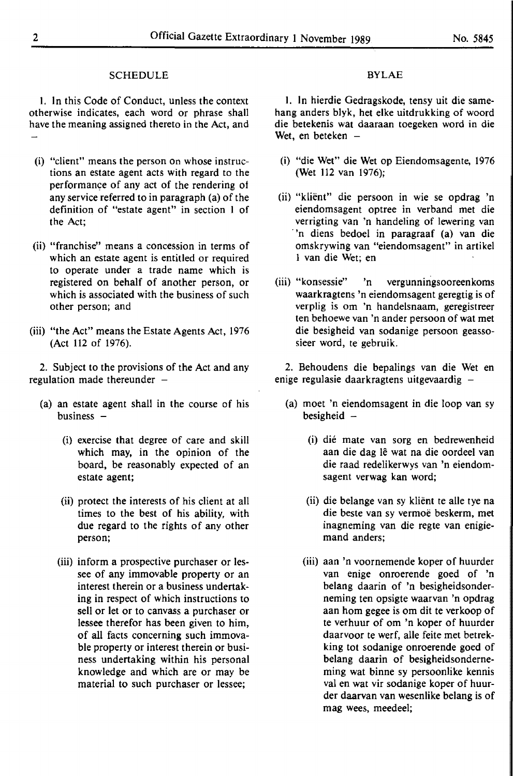#### SCHEDULE

I. In this Code of Conduct, unless the context otherwise indicates, each word or phrase shall have the meaning assigned thereto in the Act, and

- (i) "client" means the person on whose instructions an estate agent acts with regard to the performance of any act of the rendering of any service referred to in paragraph (a) of the definition of "estate agent" in section I of the Act;
- (ii) "franchise" means a concession in terms of which an estate agent is entitled or required to operate under a trade name which is registered on behalf of another person, or which is associated with the business of such other person; and
- (iii) "the Act" means the Estate Agents Act, 1976 (Act 112 of 1976).

2. Subject to the provisions of the Act and any regulation made thereunder  $-$ 

- (a) an estate agent shall in the course of his business  $-$ 
	- (i) exercise that degree of care and skill which may, in the opinion of the board, be reasonably expected of an estate agent;
	- (ii) protect the interests of his client at all times to the best of his ability, with due regard to the rights of any other person;
	- (iii) inform a prospective purchaser or lessee of any immovable property or an interest therein or a business undertaking in respect of which instructions to sell or let or to canvass a purchaser or lessee therefor has been given to him, of all facts concerning such immovable property or interest therein or business undertaking within his personal knowledge and which are or may be material to such purchaser or lessee;

#### BYLAE

I. In hierdie Gedragskode, tensy uit die samehang anders blyk, het elke uitdrukking of woord die betekenis wat daaraan toegeken word in die Wet, en beteken  $-$ 

- (i) "die Wet" die Wet op Eiendomsagente, 1976 (Wet 112 van 1976);
- (ii) "klient" die persoon in wie se opdrag 'n eiendomsagent optree in verband met die verrigting van 'n handeling of lewering van 'n diens bedoel in paragraaf (a) van die omskrywing van "eiendomsagent" in artikel 1 van die Wet; en
- (iii) "konsessie" 'n vergunningsooreenkoms waarkragtens 'n eiendomsagent geregtig is of verplig is om 'n handelsnaam, geregistreer ten behoewe van 'n ander persoon of wat met die besigheid van sodanige persoon geassosieer word, te gebruik.

2. Behoudens die bepalings van die Wet en enige regulasie daarkragtens uitgevaardig -

- (a) moet 'n eiendomsagent in die loop van sy besigheid  $-$ 
	- (i) die mate van sorg en bedrewenheid aan die dag le wat na die oordeel van die raad redelikerwys van 'n eiendomsagent verwag kan word;
	- (ii) die belange van sy klient te alle tye na die beste van sy vermoë beskerm, met inagneming van die regte van enigiemand anders;
	- (iii) aan 'n voornemende koper of huurder van enige onroerende goed of 'n belang daarin of 'n besigheidsonderneming ten opsigte waarvan 'n opdrag aan horn gegee is om dit te verkoop of te verhuur of om 'n koper of huurder daarvoor te werf, alle feite met betrekking tot sodanige onroerende goed of belang daarin of besigheidsonderneming wat binne sy persoonlike kennis val en wat vir sodanige koper of huurder daarvan van wesenlike belang is of mag wees, meedeel;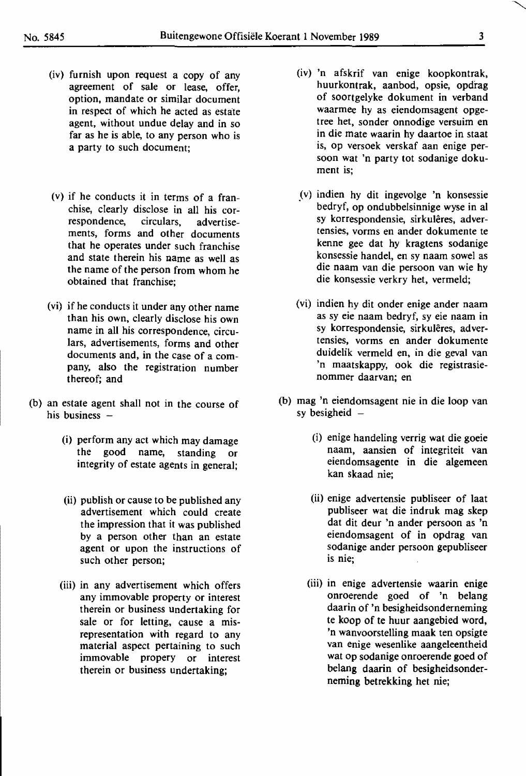- (iv) furnish upon request a copy of any agreement of sale or lease, offer, option, mandate or similar document in respect of which he acted as estate agent, without undue delay and in so far as he is able, to any person who is a party to such document;
- (v) if he conducts it in terms of a franchise, clearly disclose in all his correspondence, circulars, advertisements, forms and other documents that he operates under such franchise and state therein his name as well as the name of the person from whom he obtained that franchise;
- (vi) if he conducts it under any other name than his own, clearly disclose his own name in all his correspondence, circulars, advertisements, forms and other documents and, in the case of a company, also the registration number thereof; and
- (b) an estate agent shall not in the course of his business  $-$ 
	- (i) perform any act which may damage the good name, standing or integrity of estate agents in general;
	- (ii) publish or cause to be published any advertisement which could create the impression that it was published by a person other than an estate agent or upon the instructions of such other person;
	- (iii) in any advertisement which offers any immovable property or interest therein or business undertaking for sale or for letting, cause a misrepresentation with regard to any material aspect pertaining to such immovable propery or interest therein or business undertaking;
- (iv) 'n afskrif van enige koopkontrak, huurkontrak, aanbod, opsie, opdrag of soortgelyke dokument in verband waarmee hy as eiendomsagent opgetree het, sonder onnodige versuim en in die mate waarin hy daartoe in staat is, op versoek verskaf aan enige persoon wat 'n party tot sodanige dokument is;
- \_(v) indien hy dit ingevolge 'n konsessie bedryf, op ondubbelsinnige wyse in al sy korrespondensie, sirkulêres, advertensies, vorms en ander dokumente te kenne gee dat hy kragtens sodanige konsessie handel, en sy naam sowel as die naam van die persoon van wie hy die konsessie verkry het, vermeld;
- (vi) indien hy dit onder enige ander naam as sy eie naam bedryf, sy eie naam in sy korrespondensie, sirkuleres, advertensies, vorms en ander dokumente duidelik vermeld en, in die geval van 'n maatskappy, ook die registrasienommer daarvan; en
- (b) mag 'n eiendomsagent nie in die loop van sy besigheid  $-$ 
	- (i) enige handeling verrig wat die goeie naam, aansien of integriteit van eiendomsagente in die algemeen kan skaad nie;
	- (ii) enige advertensie publiseer of laat publiseer wat die indruk mag skep dat dit deur 'n ander persoon as 'n eiendomsagent of in opdrag van sodanige ander persoon gepubliseer is nie;
	- (iii) in enige advertensie waarin enige onroerende goed of 'n belang daarin of 'n besigheidsonderneming te koop of te huur aangebied word, 'n wanvoorstelling maak ten opsigte van enige wesenlike aangeleentheid wat op sodanige onroerende goed of belang daarin of besigheidsonderneming betrekking het nie;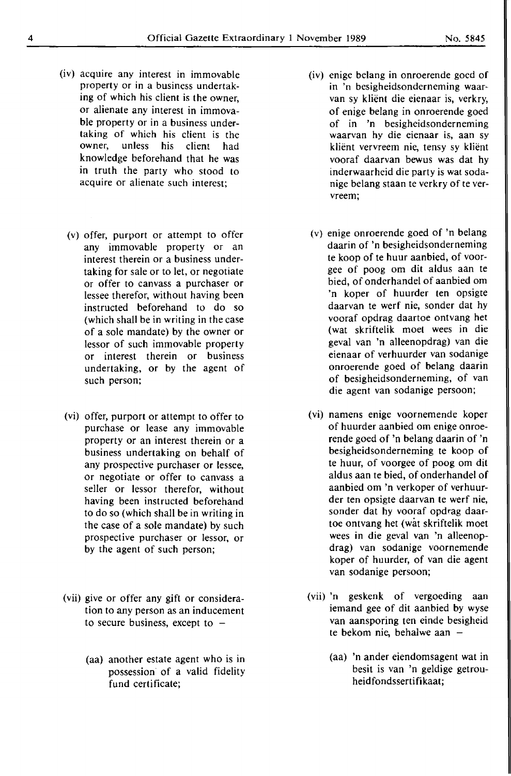- (iv) acquire any interest in immovable property or in a business undertaking of which his client is the owner, or alienate any interest in immovable property or in a business undertaking of which his client is the owner, unless his client had knowledge beforehand that he was in truth the party who stood to acquire or alienate such interest;
	- (v) offer, purport or attempt to offer any immovable property or an interest therein or a business undertaking for sale or to let, or negotiate or offer to canvass a purchaser or lessee therefor, without having been instructed beforehand to do so (which shall be in writing in the case of a sole mandate) by the owner or lessor of such immovable property or interest therein or business undertaking, or by the agent of such person;
- (vi) offer, purport or attempt to offer to purchase or lease any immovable property or an interest therein or a business undertaking on behalf of any prospective purchaser or lessee, or negotiate or offer to canvass a seller or lessor therefor, without having been instructed beforehand to do so (which shall be in writing in the case of a sole mandate) by such prospective purchaser or lessor, or by the agent of such person;
- (vii) give or offer any gift or consideration to any person as an inducement to secure business, except to  $-$ 
	- (aa) another estate agent who is in possession· of a valid fidelity fund certificate;
- (iv) enige belang in onroerende goed of in 'n besigheidsonderneming waarvan sy klient die eienaar is, verkry, of enige belang in onroerende goed of in 'n besigheidsonderneming waarvan hy die eienaar is, aan sy klient vervreem nie, tensy sy klient vooraf daarvan bewus was dat hy inderwaarheid die party is wat sodanige belang staan te verkry of te vervreem;
- (v) enige onroerende goed of 'n belang daarin of 'n besigheidsonderneming te koop of te huur aanbied, of voorgee of poog om dit aldus aan te hied, of onderhandel of aanbied om 'n koper of huurder ten opsigte daarvan te werf nie, sonder dat hy vooraf opdrag daartoe ontvang het (wat skriftelik moet wees in die geval van 'n alleenopdrag) van die eienaar of verhuurder van sodanige onroerende goed of belang daarin of besigheidsonderneming, of van die agent van sodanige persoon;
- (vi) namens enige voornemende koper of huurder aanbied om enige onroerende goed of 'n belang daarin of 'n besigheidsonderneming te koop of te huur, of voorgee of poog om dit aldus aan te hied, of onderhandel of aanbied om 'n verkoper of verhuurder ten opsigte daarvan te werf nie, sonder dat hy vooraf opdrag daartoe ontvang het (wat skriftelik moet wees in die geval van 'n alleenopdrag) van sodanige voornemende koper of huurder, of van die agent van sodanige persoon;
- (vii) 'n geskenk of vergoeding aan iemand gee of dit aanbied by wyse van aansporing ten einde besigheid te bekom nie, behalwe aan -
	- (aa) 'n ander eiendomsagent wat in besit is van 'n geldige getrouheidfondssertifikaat;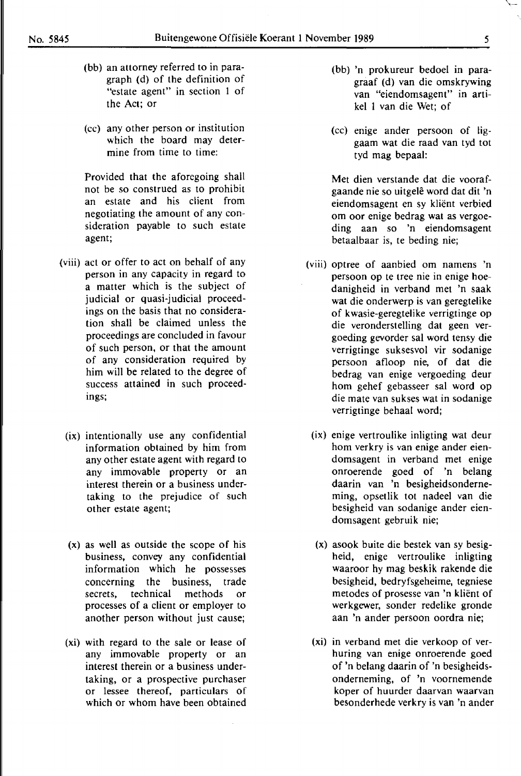- (bb) an attorney referred to in paragraph (d) of the definition of "estate agent" in section 1 of the Act; or
- (cc) any other person or institution which the board may determine from time to time:

Provided that the aforegoing shall not be so construed as to prohibit an estate and his client from negotiating the amount of any consideration payable to such estate agent;

- (viii) act or offer to act on behalf of any person in any capacity in regard to a matter which is the subject of judicial or quasi-judicial proceedings on the basis that no consideration shall be claimed unless the proceedings are concluded in favour of such person, or that the amount of any consideration required by him will be related to the degree of success attained in such proceedings;
	- (ix) intentionally use any confidential information obtained by him from any other estate agent with regard to any immovable property or an interest therein or a business undertaking to the prejudice of such other estate agent;
	- (x) as well as outside the scope of his business, convey any confidential information which he possesses concerning the business, trade secrets, technical methods or processes of a client or employer to another person without just cause;
- **(xi)** with regard to the sale or lease of any immovable property or an interest therein or a business undertaking, or a prospective purchaser or lessee thereof, particulars of which or whom have been obtained
- (bb) 'n prokureur bedoel in paragraaf (d) van die omskrywing van "eiendomsagent" in artikel 1 van die Wet; of
- (cc) enige ander persoon of liggaam wat die raad van tyd tot tyd mag bepaal:

Met dien verstande dat die voorafgaande nie so uitgele word dat dit 'n eiendomsagent en sy klient verbied om oor enige bedrag wat as vergoeding aan so 'n eiendomsagent betaalbaar is, te beding nie;

- (viii) optree of aanbied om namens 'n persoon op te tree nie in enige hoedanigheid in verband met 'n saak wat die onderwerp is van geregtelike of kwasie-geregtelike verrigtinge op die veronderstelling dat geen vergoeding gevorder sal word tensy die verrigtinge suksesvol vir sodanige persoon afloop nie, of dat die bedrag van enige vergoeding deur horn gehef gebasseer sal word op die mate van sukses wat in sodanige verrigtinge behaal word;
- (ix) enige vertroulike inligting wat deur hom verkry is van enige ander eiendomsagent in verband met enige onroerende goed of 'n belang daarin van 'n besigheidsonderneming, opsetlik tot nadeel van die besigheid van sodanige ander eiendomsagent gebruik nie;
- (x) asook buite die bestek van sy besigheid, enige vertroulike inligting waaroor hy mag beskik rakende die besigheid, bedryf sgeheime, tegniese metodes of prosesse van 'n klient of werkgewer, sonder redelike gronde aan 'n ander persoon oordra nie;
- **(xi)** in verband met die verkoop of verhuring van enige onroerende goed of 'n belang daarin of 'n besigheidsonderneming, of 'n voornemende koper of huurder daarvan waarvan besonderhede verkry is van 'n antler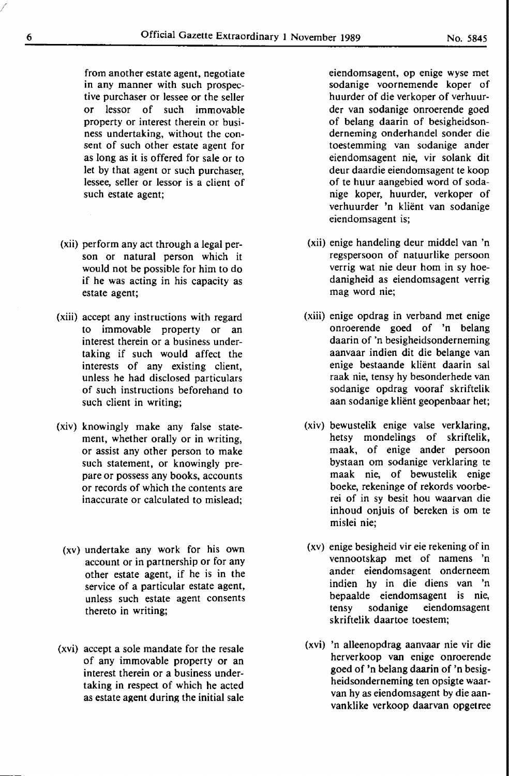from another estate agent, negotiate in any manner with such prospective purchaser or lessee or the seller or lessor of such immovable property or interest therein or business undertaking, without the consent of such other estate agent for as long as it is offered for sale or to let by that agent or such purchaser, lessee, seller or lessor is a client of such estate agent;

- (xii) perform any act through a legal person or natural person which it would not be possible for him to do if he was acting in his capacity as estate agent;
- (xiii) accept any instructions with regard to immovable property or an interest therein or a business under**taking** if such would affect the interests of any existing client, unless he had disclosed particulars of such instructions beforehand to such client in writing;
- (xiv) knowingly make any false statement, whether orally or in writing, or assist any other person to make such statement, or knowingly prepare or possess any books, accounts or records of which the contents are inaccurate or calculated to mislead;
	- (xv) undertake any work for his own account or in partnership or for any other estate agent, if he is in the service of a particular estate agent, unless such estate agent consents thereto in writing;
- (xvi) accept a sole mandate for the resale of any immovable property or an interest therein or a business undertaking in respect of which he acted as estate agent during the initial sale

eiendomsagent, op enige wyse met sodanige voornemende koper of huurder of die verkoper of verhuurder van sodanige onroerende goed of belang daarin of besigheidsonderneming onderhandel sonder die toestemming van sodanige ander eiendomsagent nie, vir solank dit deur daardie eiendomsagent te koop of te huur aangebied word of sodanige koper, huurder, verkoper of verhuurder 'n klient van sodanige eiendomsagent is;

- (xii) enige handeling deur middel van 'n regspersoon of natuurlike persoon verrig wat nie deur hom in sy hoedanigheid as eiendomsagent verrig mag word nie;
- (xiii) enige opdrag in verband met enige onroerende goed of 'n belang daarin of 'n besigheidsonderneming aanvaar indien dit die belange van enige bestaande klient daarin sal raak nie, tensy hy besonderhede van sodanige opdrag vooraf skriftelik aan sodanige klient geopenbaar het;
- (xiv) bewustelik enige valse verklaring, hetsy mondelings of skriftelik, maak, of enige ander persoon bystaan om sodanige verklaring te maak nie, of bewustelik enige boeke, rekeninge of rekords voorberei of in sy besit hou waarvan die inhoud onjuis of bereken is om te mislei nie;
- (xv) enige besigheid **vir eie** rekening of in vennootskap met of namens 'n ander eiendomsagent onderneem indien hy in die diens van 'n bepaalde eiendomsagent is nie, tensy sodanige eiendomsagent skriftelik daartoe toestem;
- (xvi) 'n alleenopdrag aanvaar nie vir die herverkoop van enige onroerende goed of 'n belang daarin of 'n besigheidsonderneming ten opsigte waarvan hy as eiendomsagent by die aanvanklike verkoop daarvan opgetree